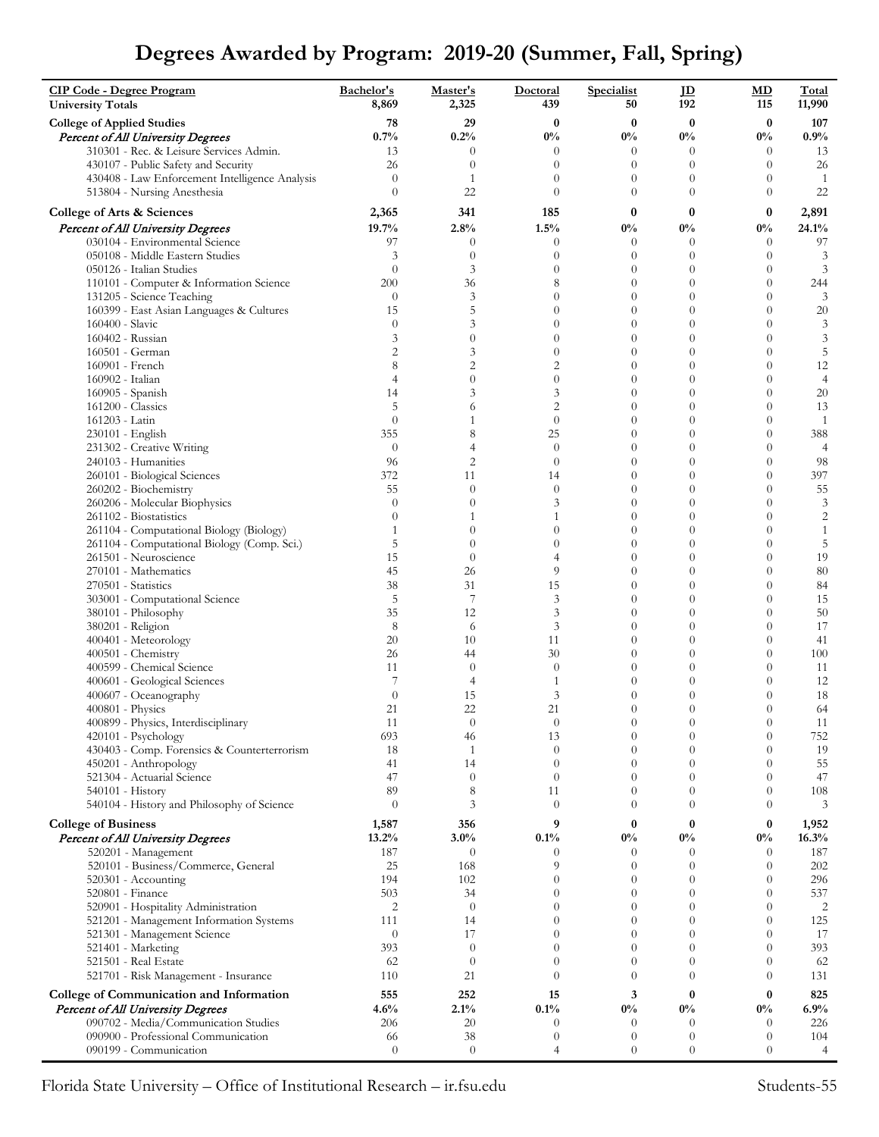## **Degrees Awarded by Program: 2019-20 (Summer, Fall, Spring)**

| <b>CIP Code - Degree Program</b><br><b>University Totals</b>                   | Bachelor's<br>8,869  | Master's<br>2,325              | Doctoral<br>439            | Specialist<br>50           | $\mathbf{D}$<br>192              | MD<br>115                    | <b>Total</b><br>11,990 |
|--------------------------------------------------------------------------------|----------------------|--------------------------------|----------------------------|----------------------------|----------------------------------|------------------------------|------------------------|
| <b>College of Applied Studies</b>                                              | 78                   | 29                             | $\bf{0}$                   | $\bf{0}$                   | $\bf{0}$                         | $\bf{0}$                     | 107                    |
| <b>Percent of All University Degrees</b>                                       | 0.7%                 | 0.2%                           | $0\%$                      | $0\%$                      | $0\%$                            | $0\%$                        | 0.9%                   |
| 310301 - Rec. & Leisure Services Admin.<br>430107 - Public Safety and Security | 13<br>26             | $\theta$<br>$\theta$           | $\theta$<br>$\theta$       | $\theta$<br>$\theta$       | $\theta$<br>$\overline{0}$       | $\theta$<br>$\theta$         | 13<br>26               |
| 430408 - Law Enforcement Intelligence Analysis                                 | $\theta$             | $\mathbf{1}$                   | $\theta$                   | $\theta$                   | $\theta$                         | $\theta$                     | -1                     |
| 513804 - Nursing Anesthesia                                                    | $\theta$             | 22                             | $\theta$                   | $\theta$                   | $\theta$                         | $\theta$                     | 22                     |
| College of Arts & Sciences                                                     | 2,365                | 341                            | 185                        | $\bf{0}$                   | $\bf{0}$                         | $\bf{0}$                     | 2,891                  |
| Percent of All University Degrees                                              | 19.7%                | 2.8%                           | 1.5%                       | $0\%$                      | $0\%$                            | $0\%$                        | 24.1%                  |
| 030104 - Environmental Science                                                 | 97                   | $\theta$                       | $\theta$                   | $\overline{0}$             | $\theta$                         | $\theta$                     | 97                     |
| 050108 - Middle Eastern Studies                                                | 3                    | $\theta$                       | $\theta$                   | $\boldsymbol{0}$           | $\overline{0}$                   | $\theta$                     | 3                      |
| 050126 - Italian Studies<br>110101 - Computer & Information Science            | $\theta$<br>200      | 3<br>36                        | $\theta$<br>8              | $\theta$<br>$\overline{0}$ | $\theta$<br>$\overline{0}$       | $\theta$<br>$\boldsymbol{0}$ | 3<br>244               |
| 131205 - Science Teaching                                                      | $\theta$             | 3                              | $\theta$                   | $\theta$                   | $\overline{0}$                   | $\theta$                     | 3                      |
| 160399 - East Asian Languages & Cultures                                       | 15                   | 5                              | $\theta$                   | $\theta$                   | $\theta$                         | $\theta$                     | 20                     |
| 160400 - Slavic                                                                | $\theta$             | 3                              | $\theta$                   | $\overline{0}$             | $\overline{0}$                   | $\overline{0}$               | $\mathfrak{Z}$         |
| 160402 - Russian                                                               | 3<br>$\overline{c}$  | $\theta$<br>3                  | $\theta$<br>$\theta$       | $\theta$<br>$\theta$       | $\theta$<br>$\theta$             | $\theta$<br>$\theta$         | 3<br>5                 |
| 160501 - German<br>160901 - French                                             | 8                    | $\overline{c}$                 | $\overline{c}$             | $\overline{0}$             | $\theta$                         | $\theta$                     | 12                     |
| 160902 - Italian                                                               | $\overline{4}$       | $\overline{0}$                 | $\theta$                   | $\theta$                   | $\theta$                         | $\theta$                     | $\overline{4}$         |
| 160905 - Spanish                                                               | 14                   | 3                              | 3                          | $\overline{0}$             | $\overline{0}$                   | $\theta$                     | 20                     |
| 161200 - Classics                                                              | 5                    | 6                              | $\overline{2}$             | $\theta$                   | $\theta$                         | $\theta$                     | 13                     |
| 161203 - Latin<br>230101 - English                                             | $\theta$<br>355      | $\mathbf{1}$<br>8              | $\theta$<br>25             | $\theta$<br>$\overline{0}$ | $\theta$<br>$\overline{0}$       | $\theta$<br>$\theta$         | $\mathbf{1}$<br>388    |
| 231302 - Creative Writing                                                      | $\theta$             | $\overline{4}$                 | $\theta$                   | $\overline{0}$             | $\theta$                         | $\theta$                     | $\overline{4}$         |
| 240103 - Humanities                                                            | 96                   | $\overline{c}$                 | $\theta$                   | $\overline{0}$             | $\overline{0}$                   | $\theta$                     | 98                     |
| 260101 - Biological Sciences                                                   | 372                  | 11                             | 14                         | $\overline{0}$             | $\overline{0}$                   | $\theta$                     | 397                    |
| 260202 - Biochemistry                                                          | 55                   | $\theta$                       | $\theta$                   | $\theta$                   | $\theta$                         | $\theta$                     | 55                     |
| 260206 - Molecular Biophysics                                                  | $\theta$<br>$\theta$ | $\overline{0}$<br>$\mathbf{1}$ | 3<br>1                     | $\overline{0}$<br>$\theta$ | $\overline{0}$<br>$\overline{0}$ | $\theta$<br>$\theta$         | 3<br>$\sqrt{2}$        |
| 261102 - Biostatistics<br>261104 - Computational Biology (Biology)             | 1                    | $\theta$                       | $\theta$                   | $\theta$                   | $\theta$                         | $\theta$                     | $\mathbf{1}$           |
| 261104 - Computational Biology (Comp. Sci.)                                    | 5                    | $\overline{0}$                 | $\theta$                   | $\overline{0}$             | $\overline{0}$                   | $\theta$                     | 5                      |
| 261501 - Neuroscience                                                          | 15                   | $\theta$                       | $\overline{4}$             | $\theta$                   | $\theta$                         | $\theta$                     | 19                     |
| 270101 - Mathematics                                                           | 45                   | 26                             | 9                          | $\theta$                   | $\theta$                         | $\theta$                     | 80                     |
| 270501 - Statistics                                                            | 38                   | 31                             | 15                         | $\overline{0}$             | $\theta$<br>$\overline{0}$       | $\overline{0}$               | 84                     |
| 303001 - Computational Science<br>380101 - Philosophy                          | 5<br>35              | 7<br>12                        | 3<br>3                     | $\theta$<br>$\theta$       | $\overline{0}$                   | $\theta$<br>$\theta$         | 15<br>50               |
| 380201 - Religion                                                              | 8                    | 6                              | 3                          | $\theta$                   | $\theta$                         | $\theta$                     | 17                     |
| 400401 - Meteorology                                                           | 20                   | 10                             | 11                         | $\theta$                   | $\theta$                         | $\theta$                     | 41                     |
| 400501 - Chemistry                                                             | 26                   | 44                             | 30                         | $\overline{0}$             | $\overline{0}$                   | $\overline{0}$               | 100                    |
| 400599 - Chemical Science<br>400601 - Geological Sciences                      | 11<br>7              | $\theta$<br>$\overline{4}$     | $\theta$<br>1              | $\theta$<br>$\overline{0}$ | $\overline{0}$<br>$\theta$       | $\theta$<br>$\theta$         | 11<br>12               |
| 400607 - Oceanography                                                          | $\theta$             | 15                             | 3                          | $\boldsymbol{0}$           | $\theta$                         | $\theta$                     | 18                     |
| 400801 - Physics                                                               | 21                   | 22                             | 21                         | $\overline{0}$             | $\theta$                         | $\theta$                     | 64                     |
| 400899 - Physics, Interdisciplinary                                            | 11                   | $\theta$                       | $\theta$                   | $\theta$                   | $\theta$                         | $\theta$                     | 11                     |
| $420101 - Psychology$                                                          | 693                  | 46                             | 13                         | $\boldsymbol{0}$           | $\theta$                         | $\theta$                     | 752                    |
| 430403 - Comp. Forensics & Counterterrorism                                    | 18<br>41             | $\mathbf{1}$<br>14             | $\theta$<br>$\theta$       | $\theta$<br>$\theta$       | $\theta$<br>$\overline{0}$       | $\theta$<br>$\theta$         | 19<br>55               |
| 450201 - Anthropology<br>521304 - Actuarial Science                            | 47                   | $\theta$                       | $\theta$                   | $\Omega$                   | $\theta$                         | $\theta$                     | 47                     |
| $540101 - History$                                                             | 89                   | 8                              | 11                         | $\theta$                   | $\theta$                         | $\theta$                     | 108                    |
| 540104 - History and Philosophy of Science                                     | $\theta$             | 3                              | $\theta$                   | $\theta$                   | $\theta$                         | $\theta$                     | 3                      |
| <b>College of Business</b>                                                     | 1,587                | 356                            | 9                          | $\bf{0}$                   | $\bf{0}$                         | $\bf{0}$                     | 1,952                  |
| Percent of All University Degrees                                              | 13.2%                | 3.0%                           | 0.1%                       | $0\%$                      | $0\%$                            | $0\%$                        | 16.3%                  |
| 520201 - Management                                                            | 187                  | $\theta$                       | $\theta$<br>$\overline{Q}$ | $\theta$                   | $\theta$<br>$\theta$             | $\theta$<br>$\theta$         | 187                    |
| 520101 - Business/Commerce, General<br>520301 - Accounting                     | 25<br>194            | 168<br>102                     | $\Omega$                   | $\theta$<br>$\theta$       | $\theta$                         | $\theta$                     | 202<br>296             |
| 520801 - Finance                                                               | 503                  | 34                             | $\theta$                   | $\theta$                   | $\theta$                         | $\boldsymbol{0}$             | 537                    |
| 520901 - Hospitality Administration                                            | $\overline{2}$       | $\theta$                       | $\theta$                   | $\theta$                   | $\theta$                         | $\theta$                     | $\overline{c}$         |
| 521201 - Management Information Systems                                        | 111                  | 14                             | $\theta$                   | $\theta$                   | $\theta$                         | $\boldsymbol{0}$             | 125                    |
| 521301 - Management Science                                                    | $\theta$<br>393      | 17<br>$\theta$                 | $\theta$<br>$\theta$       | $\theta$<br>$\Omega$       | $\theta$<br>$\theta$             | $\theta$<br>$\theta$         | 17<br>393              |
| 521401 - Marketing<br>521501 - Real Estate                                     | 62                   | $\theta$                       | $\theta$                   | $\theta$                   | $\theta$                         | $\theta$                     | 62                     |
| 521701 - Risk Management - Insurance                                           | 110                  | 21                             | $\theta$                   | $\Omega$                   | $\theta$                         | $\theta$                     | 131                    |
| College of Communication and Information                                       | 555                  | 252                            | 15                         | 3                          | $\bf{0}$                         | $\bf{0}$                     | 825                    |
| Percent of All University Degrees                                              | 4.6%                 | 2.1%                           | 0.1%                       | $0\%$                      | $0\%$                            | $0\%$                        | 6.9%                   |
| 090702 - Media/Communication Studies                                           | 206                  | 20                             | $\overline{0}$             | $\theta$                   | $\theta$                         | $\theta$                     | 226                    |
| 090900 - Professional Communication                                            | 66                   | 38                             | $\theta$                   | $\theta$                   | $\theta$                         | $\theta$                     | 104                    |
| 090199 - Communication                                                         | $\theta$             | $\boldsymbol{0}$               | 4                          | $\boldsymbol{0}$           | $\overline{0}$                   | $\theta$                     | $\overline{4}$         |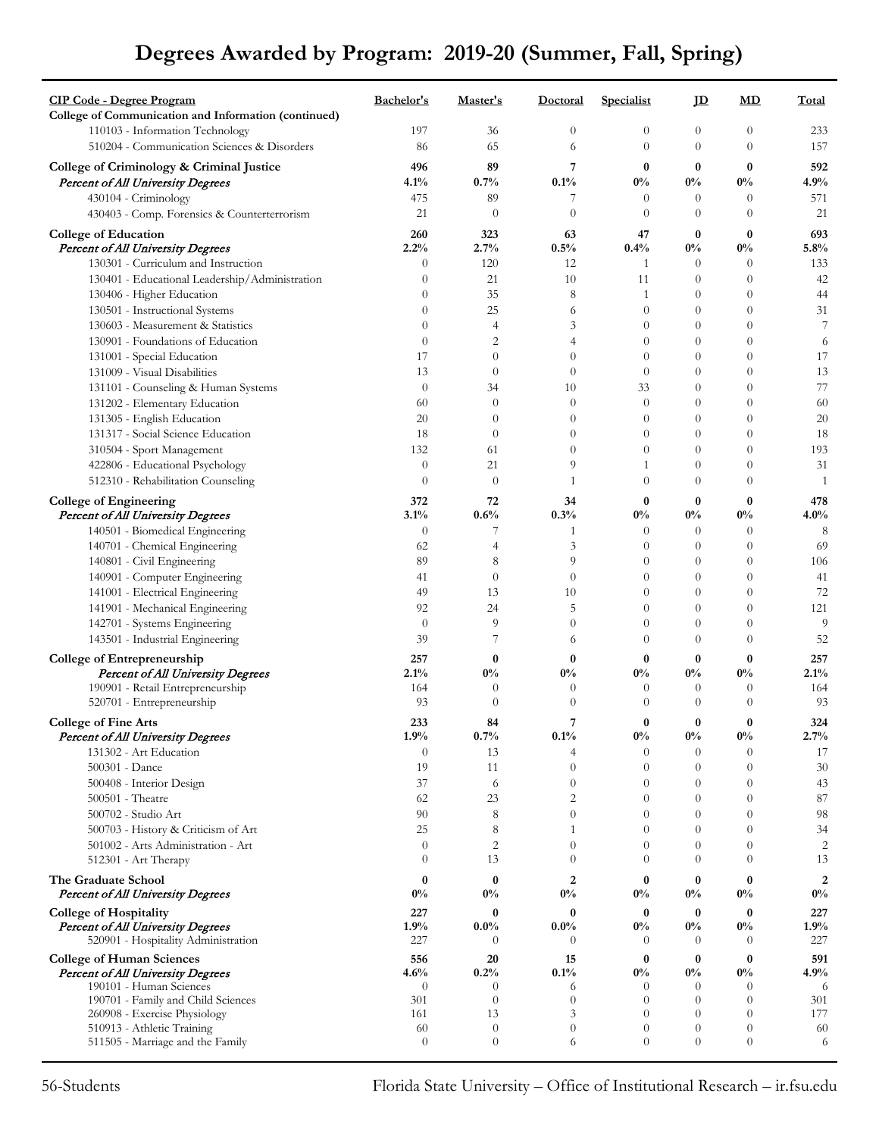## **Degrees Awarded by Program: 2019-20 (Summer, Fall, Spring)**

| <b>CIP Code - Degree Program</b>                                       | Bachelor's           | Master's             | <b>Doctoral</b>            | <b>Specialist</b>          | $\mathbf{D}$               | MD                               | Total                     |
|------------------------------------------------------------------------|----------------------|----------------------|----------------------------|----------------------------|----------------------------|----------------------------------|---------------------------|
| College of Communication and Information (continued)                   |                      |                      |                            |                            |                            |                                  |                           |
| 110103 - Information Technology                                        | 197                  | 36                   | $\theta$                   | $\theta$                   | 0                          | $\theta$                         | 233                       |
| 510204 - Communication Sciences & Disorders                            | 86                   | 65                   | 6                          | $\theta$                   | $\theta$                   | $\theta$                         | 157                       |
| College of Criminology & Criminal Justice                              | 496                  | 89                   | 7                          | $\bf{0}$                   | $\boldsymbol{0}$           | $\bf{0}$                         | 592                       |
| Percent of All University Degrees                                      | 4.1%                 | 0.7%                 | 0.1%                       | $0\%$                      | $0\%$                      | $0\%$                            | 4.9%                      |
| 430104 - Criminology                                                   | 475                  | 89                   | 7                          | $\theta$                   | $\theta$                   | $\overline{0}$                   | 571                       |
| 430403 - Comp. Forensics & Counterterrorism                            | 21                   | $\theta$             | $\overline{0}$             | $\theta$                   | $\theta$                   | $\theta$                         | 21                        |
| <b>College of Education</b>                                            | 260                  | 323                  | 63                         | 47                         | $\bf{0}$                   | $\bf{0}$                         | 693                       |
| <b>Percent of All University Degrees</b>                               | 2.2%                 | 2.7%                 | $0.5\%$                    | 0.4%                       | $0\%$                      | $0\%$                            | 5.8%                      |
| 130301 - Curriculum and Instruction                                    | $\overline{0}$       | 120                  | 12                         | 1                          | $\theta$                   | $\theta$                         | 133                       |
| 130401 - Educational Leadership/Administration                         | $\overline{0}$       | 21                   | 10                         | 11                         | $\theta$                   | $\theta$                         | 42                        |
| 130406 - Higher Education                                              | $\theta$             | 35                   | 8                          | 1                          | $\theta$                   | $\overline{0}$                   | 44                        |
| 130501 - Instructional Systems                                         | $\theta$<br>$\theta$ | 25<br>$\overline{4}$ | 6<br>3                     | $\theta$<br>$\theta$       | $\overline{0}$<br>$\theta$ | $\theta$<br>$\theta$             | 31<br>7                   |
| 130603 - Measurement & Statistics<br>130901 - Foundations of Education | $\overline{0}$       | $\overline{2}$       | 4                          | $\theta$                   | $\boldsymbol{0}$           | $\theta$                         | 6                         |
| 131001 - Special Education                                             | 17                   | $\theta$             | $\theta$                   | $\theta$                   | $\overline{0}$             | $\overline{0}$                   | 17                        |
| 131009 - Visual Disabilities                                           | 13                   | $\theta$             | $\theta$                   | $\theta$                   | 0                          | $\theta$                         | 13                        |
| 131101 - Counseling & Human Systems                                    | $\theta$             | 34                   | 10                         | 33                         | $\overline{0}$             | $\theta$                         | $77\,$                    |
| 131202 - Elementary Education                                          | 60                   | $\theta$             | $\theta$                   | $\theta$                   | $\theta$                   | $\theta$                         | 60                        |
| 131305 - English Education                                             | 20                   | $\theta$             | $\theta$                   | $\theta$                   | $\boldsymbol{0}$           | $\theta$                         | 20                        |
| 131317 - Social Science Education                                      | 18                   | $\theta$             | $\theta$                   | $\theta$                   | $\overline{0}$             | $\overline{0}$                   | 18                        |
| 310504 - Sport Management                                              | 132                  | 61                   | $\theta$                   | $\theta$                   | $\overline{0}$             | $\theta$                         | 193                       |
| 422806 - Educational Psychology                                        | $\overline{0}$       | 21                   | 9                          | 1                          | $\overline{0}$             | $\theta$                         | 31                        |
| 512310 - Rehabilitation Counseling                                     | $\theta$             | $\theta$             | 1                          | $\theta$                   | $\theta$                   | $\theta$                         | $\mathbf{1}$              |
| <b>College of Engineering</b>                                          | 372                  | 72                   | 34                         | $\bf{0}$                   | $\bf{0}$                   | $\bf{0}$                         | 478                       |
| <b>Percent of All University Degrees</b>                               | 3.1%                 | 0.6%                 | 0.3%                       | $0\%$                      | $0\%$                      | $0\%$                            | 4.0%                      |
| 140501 - Biomedical Engineering                                        | $\theta$             | 7                    | $\mathbf{1}$               | $\theta$                   | $\theta$                   | $\theta$                         | $\,8\,$                   |
| 140701 - Chemical Engineering                                          | 62                   | $\overline{4}$       | 3                          | $\overline{0}$             | $\theta$                   | $\theta$                         | 69                        |
| 140801 - Civil Engineering                                             | 89                   | 8                    | 9                          | $\theta$                   | $\theta$                   | $\theta$                         | 106                       |
| 140901 - Computer Engineering                                          | 41                   | $\theta$             | $\theta$                   | $\theta$                   | $\theta$                   | $\theta$                         | 41                        |
| 141001 - Electrical Engineering                                        | 49                   | 13                   | 10                         | $\theta$                   | $\theta$                   | $\theta$                         | 72                        |
| 141901 - Mechanical Engineering                                        | 92                   | 24                   | 5                          | $\theta$                   | $\boldsymbol{0}$           | $\theta$                         | 121                       |
| 142701 - Systems Engineering                                           | $\theta$             | 9                    | $\theta$                   | $\theta$                   | $\overline{0}$             | $\theta$                         | 9                         |
| 143501 - Industrial Engineering                                        | 39                   | 7                    | 6                          | $\theta$                   | $\theta$                   | $\theta$                         | 52                        |
| <b>College of Entrepreneurship</b>                                     | 257                  | $\bf{0}$             | $\bf{0}$                   | $\bf{0}$                   | $\bf{0}$                   | $\bf{0}$                         | 257                       |
| <b>Percent of All University Degrees</b>                               | 2.1%                 | $0\%$                | $0\%$                      | $0\%$                      | $0\%$                      | $0\%$                            | 2.1%                      |
| 190901 - Retail Entrepreneurship                                       | 164                  | $\theta$             | $\theta$                   | $\theta$                   | $\theta$                   | $\theta$                         | 164                       |
| 520701 - Entrepreneurship                                              | 93                   | $\theta$             | $\theta$                   | $\theta$                   | $\theta$                   | $\theta$                         | 93                        |
| <b>College of Fine Arts</b>                                            | 233                  | 84                   | 7                          | 0                          | 0                          | $\bf{0}$                         | 324                       |
| Percent of All University Degrees                                      | 1.9%                 | 0.7%                 | 0.1%                       | $0\%$                      | $0\%$                      | $0\%$                            | 2.7%                      |
| 131302 - Art Education                                                 | $\theta$             | 13                   | 4                          | $\theta$                   | $\theta$                   | $\overline{0}$                   | 17                        |
| 500301 - Dance                                                         | 19                   | 11                   | $\theta$                   | $\theta$                   | 0                          | $\theta$                         | 30                        |
| 500408 - Interior Design                                               | 37                   | 6                    | $\theta$                   | $\theta$                   | $\overline{0}$             | $\theta$                         | 43                        |
| 500501 - Theatre<br>500702 - Studio Art                                | 62<br>90             | 23<br>8              | $\overline{c}$<br>$\theta$ | $\theta$<br>$\theta$       | $\theta$<br>$\overline{0}$ | $\theta$<br>$\overline{0}$       | $87\,$<br>98              |
| 500703 - History & Criticism of Art                                    | 25                   | 8                    | $\mathbf{1}$               | $\theta$                   | $\overline{0}$             | $\overline{0}$                   | 34                        |
| 501002 - Arts Administration - Art                                     | $\overline{0}$       | $\overline{2}$       | $\theta$                   | $\theta$                   | $\overline{0}$             | $\overline{0}$                   | $\overline{c}$            |
| 512301 - Art Therapy                                                   | $\theta$             | 13                   | $\theta$                   | $\Omega$                   | $\theta$                   | $\theta$                         | 13                        |
|                                                                        |                      |                      |                            |                            |                            |                                  |                           |
| The Graduate School<br>Percent of All University Degrees               | $\bf{0}$<br>$0\%$    | $\bf{0}$<br>$0\%$    | $\overline{2}$<br>$0\%$    | 0<br>$0\%$                 | $\bf{0}$<br>$0\%$          | $\bf{0}$<br>$0\%$                | $\boldsymbol{2}$<br>$0\%$ |
|                                                                        | 227                  | $\bf{0}$             | $\bf{0}$                   |                            | $\bf{0}$                   | $\bf{0}$                         | 227                       |
| <b>College of Hospitality</b><br>Percent of All University Degrees     | 1.9%                 | $0.0\%$              | $0.0\%$                    | 0<br>$0\%$                 | $0\%$                      | $0\%$                            | 1.9%                      |
| 520901 - Hospitality Administration                                    | 227                  | $\theta$             | $\Omega$                   | $\theta$                   | $\Omega$                   | $\theta$                         | 227                       |
| <b>College of Human Sciences</b>                                       | 556                  | 20                   | 15                         | $\bf{0}$                   | $\bf{0}$                   | $\bf{0}$                         | 591                       |
| Percent of All University Degrees                                      | 4.6%                 | 0.2%                 | 0.1%                       | $0\%$                      | $0\%$                      | $0\%$                            | 4.9%                      |
| 190101 - Human Sciences                                                | $\overline{0}$       | $\theta$             | 6                          | $\theta$                   | $\theta$                   | $\theta$                         | 6                         |
| 190701 - Family and Child Sciences                                     | 301                  | $\theta$             | $\theta$                   | $\theta$                   | $\theta$                   | $\theta$                         | 301                       |
| 260908 - Exercise Physiology                                           | 161                  | 13                   | 3                          | $\theta$                   | $\theta$                   | $\theta$                         | 177                       |
| 510913 - Athletic Training<br>511505 - Marriage and the Family         | 60<br>$\theta$       | $\theta$<br>$\theta$ | $\theta$<br>6              | $\overline{0}$<br>$\theta$ | $\theta$<br>$\overline{0}$ | $\overline{0}$<br>$\overline{0}$ | 60<br>6                   |
|                                                                        |                      |                      |                            |                            |                            |                                  |                           |